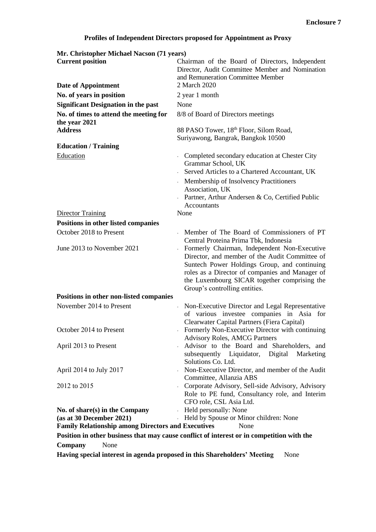## **Profiles of Independent Directors proposed for Appointment as Proxy**

| Mr. Christopher Michael Nacson (71 years)                 |                                                                                                                                                                                                                                                                                    |
|-----------------------------------------------------------|------------------------------------------------------------------------------------------------------------------------------------------------------------------------------------------------------------------------------------------------------------------------------------|
| <b>Current position</b>                                   | Chairman of the Board of Directors, Independent<br>Director, Audit Committee Member and Nomination                                                                                                                                                                                 |
|                                                           | and Remuneration Committee Member                                                                                                                                                                                                                                                  |
| Date of Appointment                                       | 2 March 2020                                                                                                                                                                                                                                                                       |
| No. of years in position                                  | 2 year 1 month                                                                                                                                                                                                                                                                     |
| <b>Significant Designation in the past</b>                | None                                                                                                                                                                                                                                                                               |
| No. of times to attend the meeting for<br>the year 2021   | 8/8 of Board of Directors meetings                                                                                                                                                                                                                                                 |
| <b>Address</b>                                            | 88 PASO Tower, 18th Floor, Silom Road,                                                                                                                                                                                                                                             |
|                                                           | Suriyawong, Bangrak, Bangkok 10500                                                                                                                                                                                                                                                 |
| <b>Education / Training</b>                               |                                                                                                                                                                                                                                                                                    |
| Education                                                 | - Completed secondary education at Chester City<br>Grammar School, UK                                                                                                                                                                                                              |
|                                                           | Served Articles to a Chartered Accountant, UK                                                                                                                                                                                                                                      |
|                                                           | - Membership of Insolvency Practitioners<br>Association, UK                                                                                                                                                                                                                        |
|                                                           | Partner, Arthur Andersen & Co, Certified Public<br>Accountants                                                                                                                                                                                                                     |
| <b>Director Training</b>                                  | None                                                                                                                                                                                                                                                                               |
| Positions in other listed companies                       |                                                                                                                                                                                                                                                                                    |
| October 2018 to Present                                   | Member of The Board of Commissioners of PT<br>Central Proteina Prima Tbk, Indonesia                                                                                                                                                                                                |
| June 2013 to November 2021                                | Formerly Chairman, Independent Non-Executive<br>Director, and member of the Audit Committee of<br>Suntech Power Holdings Group, and continuing<br>roles as a Director of companies and Manager of<br>the Luxembourg SICAR together comprising the<br>Group's controlling entities. |
| Positions in other non-listed companies                   |                                                                                                                                                                                                                                                                                    |
| November 2014 to Present                                  | Non-Executive Director and Legal Representative<br>of various investee companies in Asia for<br>Clearwater Capital Partners (Fiera Capital)                                                                                                                                        |
| October 2014 to Present                                   | Formerly Non-Executive Director with continuing<br><b>Advisory Roles, AMCG Partners</b>                                                                                                                                                                                            |
| April 2013 to Present                                     | Advisor to the Board and Shareholders, and<br>subsequently Liquidator, Digital<br>Marketing<br>Solutions Co. Ltd.                                                                                                                                                                  |
| April 2014 to July 2017                                   | Non-Executive Director, and member of the Audit<br>Committee, Allanzia ABS                                                                                                                                                                                                         |
| 2012 to 2015                                              | - Corporate Advisory, Sell-side Advisory, Advisory<br>Role to PE fund, Consultancy role, and Interim<br>CFO role, CSL Asia Ltd.                                                                                                                                                    |
| No. of share(s) in the Company                            | - Held personally: None                                                                                                                                                                                                                                                            |
| (as at 30 December 2021)                                  | Held by Spouse or Minor children: None                                                                                                                                                                                                                                             |
| <b>Family Relationship among Directors and Executives</b> | None                                                                                                                                                                                                                                                                               |

**Position in other business that may cause conflict of interest or in competition with the Company** None

**Having special interest in agenda proposed in this Shareholders' Meeting** None